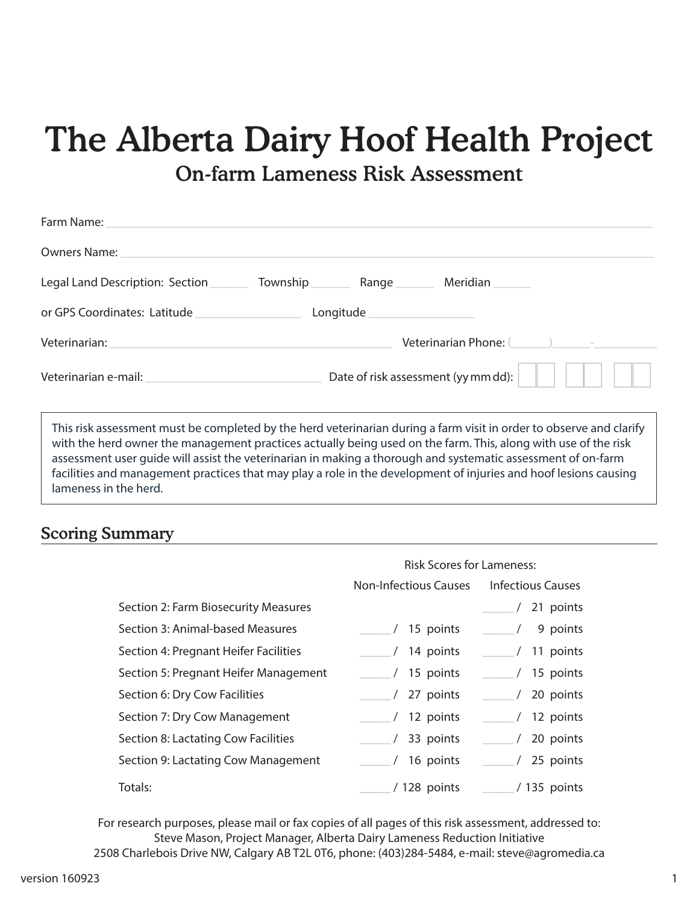# The Alberta Dairy Hoof Health Project

## On-farm Lameness Risk Assessment

| Legal Land Description: Section                 |                                | Township Range Meridian                                                                                                                                                                                                       |  |
|-------------------------------------------------|--------------------------------|-------------------------------------------------------------------------------------------------------------------------------------------------------------------------------------------------------------------------------|--|
|                                                 | Longitude ____________________ |                                                                                                                                                                                                                               |  |
| Veterinarian: Veterinarian:                     |                                | Veterinarian Phone: (asset of the contract of the contract of the contract of the contract of the contract of the contract of the contract of the contract of the contract of the contract of the contract of the contract of |  |
| Veterinarian e-mail:<br>University of the mail: |                                | Date of risk assessment (yy mm dd):                                                                                                                                                                                           |  |

ent must be completed by the herd veterinarian during a farm visit in order to observe and clarify with the herd owner the management practices actually being used on the farm. This, along with use of the risk assessment user guide will assist the veterinarian in making a thorough and systematic assessment of on-farm facilities and management practices that may play a role in the development of injuries and hoof lesions causing lameness in the herd.

#### Scoring Summary

|                                       | <b>Risk Scores for Lameness:</b> |                          |
|---------------------------------------|----------------------------------|--------------------------|
|                                       | <b>Non-Infectious Causes</b>     | <b>Infectious Causes</b> |
| Section 2: Farm Biosecurity Measures  |                                  | 21 points                |
| Section 3: Animal-based Measures      | / 15 points                      | 9 points                 |
| Section 4: Pregnant Heifer Facilities | $/$ 14 points                    | $/11$ points             |
| Section 5: Pregnant Heifer Management | $/15$ points                     | / 15 points              |
| Section 6: Dry Cow Facilities         | / 27 points                      | $/$ 20 points            |
| Section 7: Dry Cow Management         | $/12$ points                     | / 12 points              |
| Section 8: Lactating Cow Facilities   | $/$ 33 points                    | 20 points                |
| Section 9: Lactating Cow Management   | $/$ 16 points                    | / 25 points              |
| Totals:                               | / 128 points                     | / 135 points             |

For research purposes, please mail or fax copies of all pages of this risk assessment, addressed to: Steve Mason, Project Manager, Alberta Dairy Lameness Reduction Initiative 2508 Charlebois Drive NW, Calgary AB T2L 0T6, phone: (403)284-5484, e-mail: steve@agromedia.ca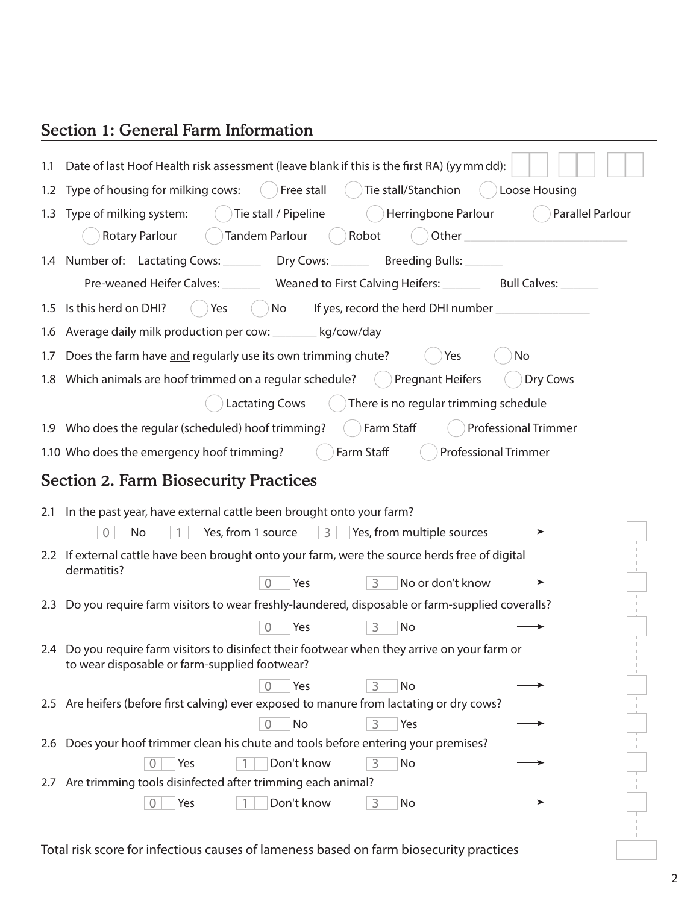## Section 1: General Farm Information

| 1.1 | Date of last Hoof Health risk assessment (leave blank if this is the first RA) (yy mm dd):                                                     |
|-----|------------------------------------------------------------------------------------------------------------------------------------------------|
|     | Free stall<br>Tie stall/Stanchion<br>1.2 Type of housing for milking cows:<br>Loose Housing                                                    |
|     | Tie stall / Pipeline<br>Herringbone Parlour<br>Parallel Parlour<br>1.3 Type of milking system:                                                 |
|     | Tandem Parlour<br><b>Rotary Parlour</b><br>Robot<br>Other                                                                                      |
|     | 1.4 Number of: Lactating Cows:<br>Dry Cows:<br>Breeding Bulls:                                                                                 |
|     | Pre-weaned Heifer Calves: _________ Weaned to First Calving Heifers: _________ Bull Calves:                                                    |
|     | 1.5 Is this herd on DHI?<br>Yes<br>No<br>If yes, record the herd DHI number _                                                                  |
| 1.6 | Average daily milk production per cow: ________ kg/cow/day                                                                                     |
| 1.7 | Does the farm have and regularly use its own trimming chute?<br>No<br>Yes                                                                      |
|     | Dry Cows<br>1.8 Which animals are hoof trimmed on a regular schedule?<br><b>Pregnant Heifers</b>                                               |
|     | <b>Lactating Cows</b><br>There is no regular trimming schedule                                                                                 |
|     | 1.9 Who does the regular (scheduled) hoof trimming?<br>Farm Staff<br><b>Professional Trimmer</b>                                               |
|     | Farm Staff<br>1.10 Who does the emergency hoof trimming?<br><b>Professional Trimmer</b>                                                        |
|     | <b>Section 2. Farm Biosecurity Practices</b>                                                                                                   |
|     |                                                                                                                                                |
| 2.1 | In the past year, have external cattle been brought onto your farm?                                                                            |
|     | Yes, from 1 source<br>3<br>Yes, from multiple sources<br>$\sqrt{a}$<br>No                                                                      |
|     | 2.2 If external cattle have been brought onto your farm, were the source herds free of digital                                                 |
|     | dermatitis?<br>Yes<br>3<br>No or don't know<br>$\Omega$                                                                                        |
|     | 2.3 Do you require farm visitors to wear freshly-laundered, disposable or farm-supplied coveralls?                                             |
|     | $\mathbf 0$<br>Yes<br>3<br>No                                                                                                                  |
|     | 2.4 Do you require farm visitors to disinfect their footwear when they arrive on your farm or<br>to wear disposable or farm-supplied footwear? |
|     | Yes<br>No<br>$\Omega$<br>3                                                                                                                     |
|     | 2.5 Are heifers (before first calving) ever exposed to manure from lactating or dry cows?                                                      |
|     | $\overline{0}$<br>No<br>3<br>Yes                                                                                                               |
|     | 2.6 Does your hoof trimmer clean his chute and tools before entering your premises?                                                            |
|     | Don't know<br>Yes<br>3<br>No<br>$\overline{0}$                                                                                                 |
|     | 2.7 Are trimming tools disinfected after trimming each animal?<br>Don't know<br>Yes<br>3<br>No<br>$\overline{0}$                               |

Total risk score for infectious causes of lameness based on farm biosecurity practices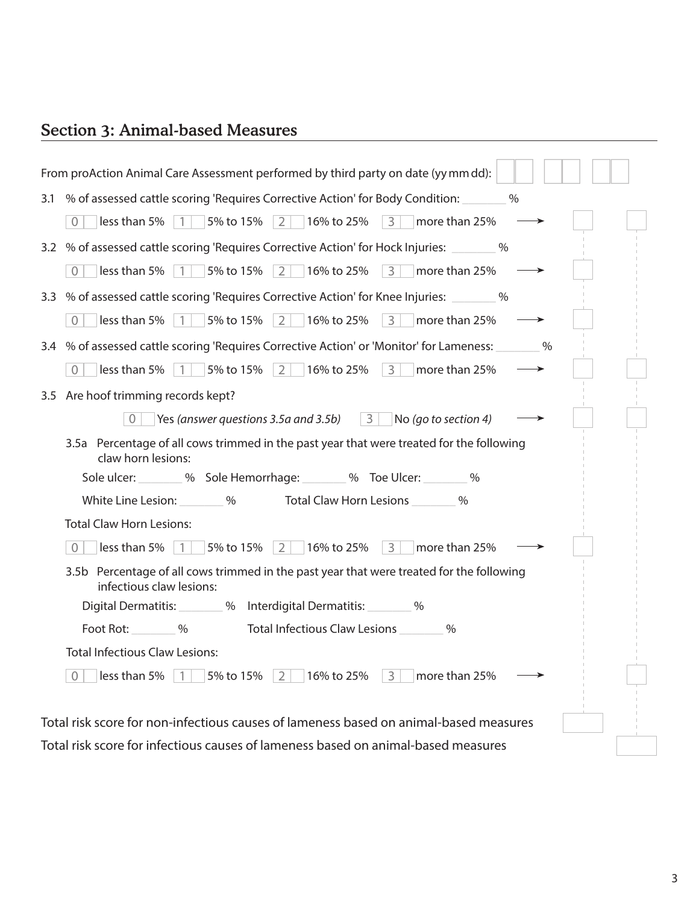## Section 3: Animal-based Measures

| From proAction Animal Care Assessment performed by third party on date (yy mm dd):                                                        |
|-------------------------------------------------------------------------------------------------------------------------------------------|
| 3.1 % of assessed cattle scoring 'Requires Corrective Action' for Body Condition:<br>$\%$                                                 |
| $\Omega$                                                                                                                                  |
| 3.2 % of assessed cattle scoring 'Requires Corrective Action' for Hock Injuries: _______ %                                                |
| $\Omega$                                                                                                                                  |
| 3.3 % of assessed cattle scoring 'Requires Corrective Action' for Knee Injuries: _______ %                                                |
| $\boxed{3}$ more than 25%<br>16% to 25%<br>$\overline{0}$<br>less than 5% $\vert$ 1 $\vert$<br>5% to 15%<br>$\overline{2}$                |
| 3.4 % of assessed cattle scoring 'Requires Corrective Action' or 'Monitor' for Lameness: _______ %                                        |
| 16% to 25% $\begin{array}{ c c c } \hline 3 & \text{more than 25\%} \hline \end{array}$<br>less than 5%   1   5% to 15%   2  <br>$\Omega$ |
| 3.5 Are hoof trimming records kept?                                                                                                       |
| Yes (answer questions 3.5a and 3.5b) $\vert 3 \vert$ No (go to section 4)<br>$\Omega$                                                     |
| 3.5a Percentage of all cows trimmed in the past year that were treated for the following<br>claw horn lesions:                            |
| Sole ulcer: ________ % Sole Hemorrhage: _______ % Toe Ulcer: _______ %                                                                    |
| White Line Lesion: 4.6 % 9.6 More Total Claw Horn Lesions                                                                                 |
| <b>Total Claw Horn Lesions:</b>                                                                                                           |
| 16% to 25% $3 \times 100$ more than 25%<br>less than 5%<br>5% to 15%<br>$\vert 1 \vert$<br>$2 \mid$<br>$\bigcap$                          |
| 3.5b Percentage of all cows trimmed in the past year that were treated for the following<br>infectious claw lesions:                      |
| Digital Dermatitis: 400 % Interdigital Dermatitis: 400 %                                                                                  |
| Foot Rot: %<br>Total Infectious Claw Lesions<br>$\%$                                                                                      |
| <b>Total Infectious Claw Lesions:</b>                                                                                                     |
| less than 5%<br>5% to 15%<br>16% to 25%<br>more than 25%<br>2<br>$\vert 3 \vert$<br>$\overline{0}$<br>$\vert 1 \vert$                     |
| Total risk score for non-infectious causes of lameness based on animal-based measures                                                     |
| Total risk score for infectious causes of lameness based on animal-based measures                                                         |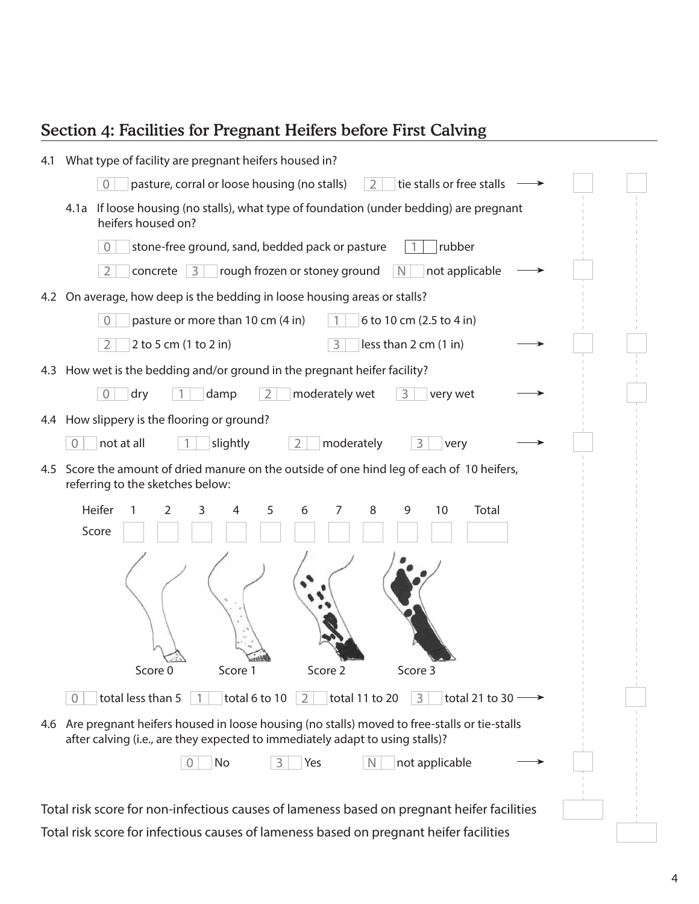## Section 4: Facilities for Pregnant Heifers before First Calving

| 4.1 | What type of facility are pregnant heifers housed in?                                                                                                                                |  |
|-----|--------------------------------------------------------------------------------------------------------------------------------------------------------------------------------------|--|
|     | pasture, corral or loose housing (no stalls)<br>tie stalls or free stalls<br>$\overline{0}$<br>2                                                                                     |  |
|     | If loose housing (no stalls), what type of foundation (under bedding) are pregnant<br>4.1a<br>heifers housed on?                                                                     |  |
|     | stone-free ground, sand, bedded pack or pasture<br>rubber<br>$\overline{0}$                                                                                                          |  |
|     | concrete $ 3 $<br>$\vert N \vert$<br>$\overline{2}$<br>rough frozen or stoney ground<br>not applicable                                                                               |  |
|     | 4.2 On average, how deep is the bedding in loose housing areas or stalls?                                                                                                            |  |
|     | $\overline{0}$<br>pasture or more than 10 cm (4 in)<br>6 to 10 cm (2.5 to 4 in)                                                                                                      |  |
|     | 3<br>less than 2 cm (1 in)<br>$\overline{2}$<br>2 to 5 cm (1 to 2 in)                                                                                                                |  |
|     | 4.3 How wet is the bedding and/or ground in the pregnant heifer facility?                                                                                                            |  |
|     | $\sqrt{a}$<br>$\overline{2}$<br>moderately wet<br>3<br>dry<br>damp<br>very wet                                                                                                       |  |
|     | 4.4 How slippery is the flooring or ground?                                                                                                                                          |  |
|     | moderately<br>not at all<br>slightly<br>$\overline{0}$<br>3<br>very                                                                                                                  |  |
| 4.5 | Score the amount of dried manure on the outside of one hind leg of each of 10 heifers,<br>referring to the sketches below:                                                           |  |
|     | Heifer<br>5<br>10<br>Total<br>6<br>7<br>8<br>9<br>2<br>3<br>4<br>Score                                                                                                               |  |
|     |                                                                                                                                                                                      |  |
|     | Score 3<br>Score 0<br>Score 1<br>Score 2                                                                                                                                             |  |
|     | total less than 5<br>total 6 to 10<br>total 11 to 20<br>3<br>total 21 to 30 $-$<br>2<br>0                                                                                            |  |
|     | 4.6 Are pregnant heifers housed in loose housing (no stalls) moved to free-stalls or tie-stalls<br>after calving (i.e., are they expected to immediately adapt to using stalls)?     |  |
|     | No<br>Yes<br>not applicable                                                                                                                                                          |  |
|     |                                                                                                                                                                                      |  |
|     | Total risk score for non-infectious causes of lameness based on pregnant heifer facilities<br>Total risk score for infectious causes of lameness based on pregnant heifer facilities |  |

Total risk score for infectious causes of lameness based on pregnant heifer facilities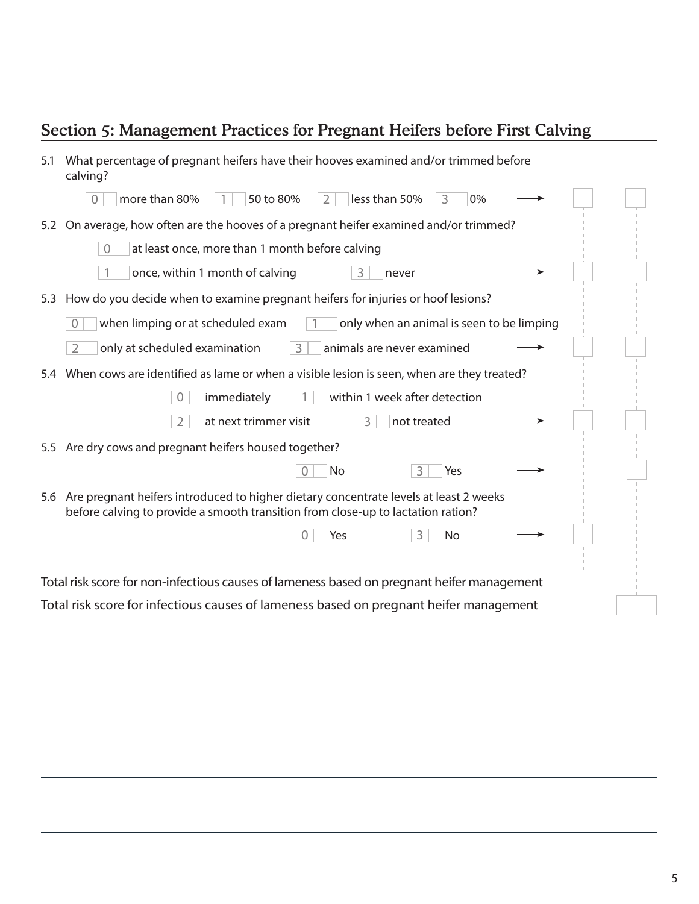## Section 5: Management Practices for Pregnant Heifers before First Calving

| 5.1 | What percentage of pregnant heifers have their hooves examined and/or trimmed before<br>calving?                                                                          |  |  |  |  |
|-----|---------------------------------------------------------------------------------------------------------------------------------------------------------------------------|--|--|--|--|
|     | more than 80%<br>50 to 80%<br>less than 50%<br>0%<br>$\Omega$<br>2                                                                                                        |  |  |  |  |
| 5.2 | On average, how often are the hooves of a pregnant heifer examined and/or trimmed?                                                                                        |  |  |  |  |
|     | at least once, more than 1 month before calving<br>$\sqrt{a}$                                                                                                             |  |  |  |  |
|     | once, within 1 month of calving<br>3<br>never                                                                                                                             |  |  |  |  |
| 5.3 | How do you decide when to examine pregnant heifers for injuries or hoof lesions?                                                                                          |  |  |  |  |
|     | when limping or at scheduled exam<br>only when an animal is seen to be limping<br>$\overline{0}$                                                                          |  |  |  |  |
|     | only at scheduled examination<br>animals are never examined<br>$\overline{2}$<br>3                                                                                        |  |  |  |  |
| 5.4 | When cows are identified as lame or when a visible lesion is seen, when are they treated?                                                                                 |  |  |  |  |
|     | immediately<br>within 1 week after detection                                                                                                                              |  |  |  |  |
|     | at next trimmer visit<br>3<br>not treated                                                                                                                                 |  |  |  |  |
| 5.5 | Are dry cows and pregnant heifers housed together?                                                                                                                        |  |  |  |  |
|     | No<br>3<br>Yes                                                                                                                                                            |  |  |  |  |
| 5.6 | Are pregnant heifers introduced to higher dietary concentrate levels at least 2 weeks<br>before calving to provide a smooth transition from close-up to lactation ration? |  |  |  |  |
|     | 3<br>No<br>Yes<br>$\Omega$                                                                                                                                                |  |  |  |  |
|     | Total risk score for non-infectious causes of lameness based on pregnant heifer management                                                                                |  |  |  |  |
|     | Total risk score for infectious causes of lameness based on pregnant heifer management                                                                                    |  |  |  |  |
|     |                                                                                                                                                                           |  |  |  |  |

5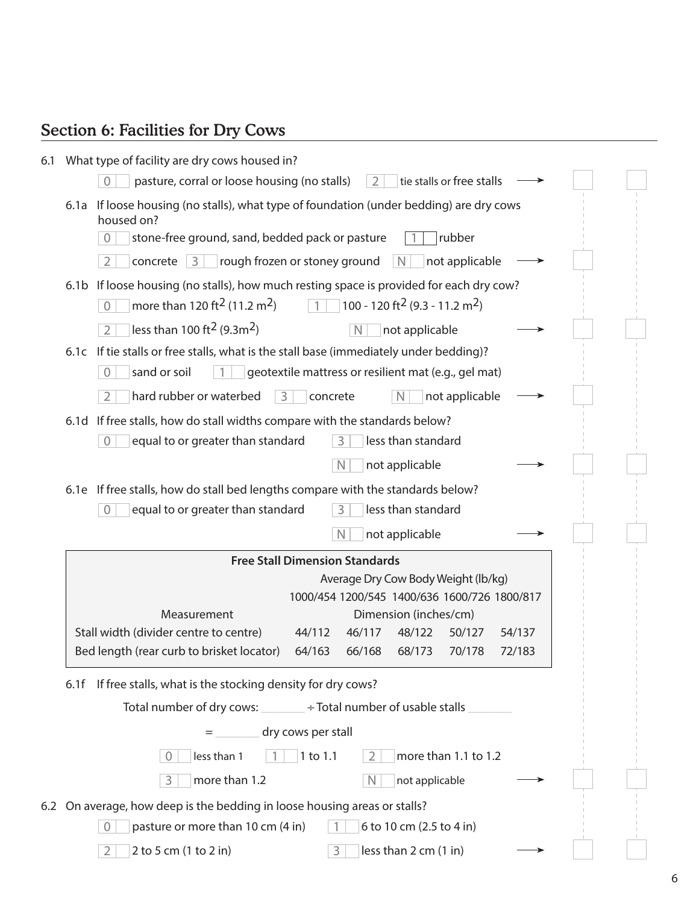## Section 6: Facilities for Dry Cows

| 6.1 What type of facility are dry cows housed in?                                                                                                                                                                                                        |  |
|----------------------------------------------------------------------------------------------------------------------------------------------------------------------------------------------------------------------------------------------------------|--|
| pasture, corral or loose housing (no stalls)<br>tie stalls or free stalls<br>$\overline{2}$                                                                                                                                                              |  |
| If loose housing (no stalls), what type of foundation (under bedding) are dry cows<br>6.1a<br>housed on?                                                                                                                                                 |  |
| stone-free ground, sand, bedded pack or pasture<br>rubber<br>$\Omega$                                                                                                                                                                                    |  |
| $\overline{2}$<br>rough frozen or stoney ground<br>not applicable<br>concrete $ 3$<br><sup>N</sup>                                                                                                                                                       |  |
| If loose housing (no stalls), how much resting space is provided for each dry cow?<br>6.1 <sub>b</sub><br>more than 120 ft <sup>2</sup> (11.2 m <sup>2</sup> )<br>100 - 120 ft <sup>2</sup> (9.3 - 11.2 m <sup>2</sup> )<br>$\overline{1}$<br>$\bigcirc$ |  |
| less than 100 ft <sup>2</sup> (9.3m <sup>2</sup> )<br>$\overline{2}$<br>$\mathbb N$<br>not applicable                                                                                                                                                    |  |
| 6.1c If tie stalls or free stalls, what is the stall base (immediately under bedding)?                                                                                                                                                                   |  |
| $\overline{0}$<br>sand or soil<br>geotextile mattress or resilient mat (e.g., gel mat)                                                                                                                                                                   |  |
| hard rubber or waterbed<br>$\overline{2}$<br>not applicable<br>3<br>concrete<br>N                                                                                                                                                                        |  |
| 6.1d If free stalls, how do stall widths compare with the standards below?                                                                                                                                                                               |  |
| equal to or greater than standard<br>less than standard<br>$\overline{0}$<br>3                                                                                                                                                                           |  |
| $\mathbb N$<br>not applicable                                                                                                                                                                                                                            |  |
| 6.1e If free stalls, how do stall bed lengths compare with the standards below?                                                                                                                                                                          |  |
| equal to or greater than standard<br>less than standard<br>$\overline{0}$<br>3                                                                                                                                                                           |  |
| $\mathbb N$<br>not applicable                                                                                                                                                                                                                            |  |
| <b>Free Stall Dimension Standards</b>                                                                                                                                                                                                                    |  |
| Average Dry Cow Body Weight (lb/kg)                                                                                                                                                                                                                      |  |
| 1000/454 1200/545 1400/636 1600/726 1800/817<br>Dimension (inches/cm)<br>Measurement                                                                                                                                                                     |  |
| Stall width (divider centre to centre)<br>44/112<br>46/117<br>48/122<br>50/127<br>54/137                                                                                                                                                                 |  |
| Bed length (rear curb to brisket locator)<br>64/163<br>72/183<br>66/168<br>68/173<br>70/178                                                                                                                                                              |  |
| If free stalls, what is the stocking density for dry cows?<br>6.1f                                                                                                                                                                                       |  |
| Total number of dry cows: ________ ÷ Total number of usable stalls                                                                                                                                                                                       |  |
| dry cows per stall<br>$=$                                                                                                                                                                                                                                |  |
| more than 1.1 to 1.2<br>1 to 1.1<br>less than 1<br>2                                                                                                                                                                                                     |  |
| more than 1.2<br>$\mathbb N$<br>not applicable<br>3                                                                                                                                                                                                      |  |
|                                                                                                                                                                                                                                                          |  |
| 6.2 On average, how deep is the bedding in loose housing areas or stalls?<br>pasture or more than 10 cm (4 in)<br>6 to 10 cm (2.5 to 4 in)<br>$\overline{0}$                                                                                             |  |
| 2 to 5 cm (1 to 2 in)<br>less than 2 cm (1 in)<br>3<br>$\overline{2}$                                                                                                                                                                                    |  |
|                                                                                                                                                                                                                                                          |  |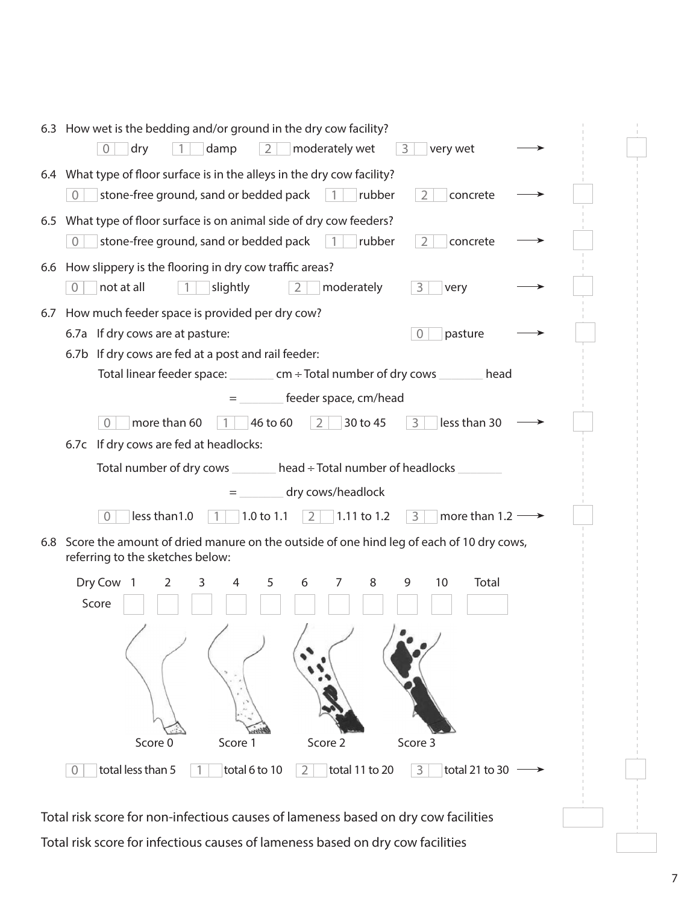| 6.3 How wet is the bedding and/or ground in the dry cow facility?<br>$\overline{2}$<br>moderately wet<br>dry<br>damp<br>very wet<br>$\overline{0}$<br>3                 |  |
|-------------------------------------------------------------------------------------------------------------------------------------------------------------------------|--|
| 6.4 What type of floor surface is in the alleys in the dry cow facility?<br>stone-free ground, sand or bedded pack<br>rubber<br>$\mathcal{L}$<br>concrete               |  |
| 6.5 What type of floor surface is on animal side of dry cow feeders?<br>stone-free ground, sand or bedded pack<br>rubber<br>2<br>concrete<br>$\overline{1}$<br>$\Omega$ |  |
| 6.6 How slippery is the flooring in dry cow traffic areas?<br>not at all<br>moderately<br>slightly<br>$\overline{2}$<br>3<br>$\Omega$<br>very                           |  |
| How much feeder space is provided per dry cow?<br>6.7                                                                                                                   |  |
| 6.7a If dry cows are at pasture:<br>pasture<br>$\Omega$                                                                                                                 |  |
| 6.7b If dry cows are fed at a post and rail feeder:                                                                                                                     |  |
| Total linear feeder space: _________ cm ÷ Total number of dry cows _<br>head                                                                                            |  |
| feeder space, cm/head                                                                                                                                                   |  |
| less than 30<br>more than 60<br>46 to 60<br>30 to 45<br>3<br>$\Omega$<br>2                                                                                              |  |
| 6.7c If dry cows are fed at headlocks:                                                                                                                                  |  |
| Total number of dry cows $\_\_\_\_\$ head $\div$ Total number of headlocks                                                                                              |  |
| dry cows/headlock                                                                                                                                                       |  |
| $\overline{3}$<br>less than 1.0<br>more than $1.2 -$<br>1.0 to 1.1<br>2<br>$1.11$ to 1.2<br>$\overline{0}$<br>$\overline{1}$                                            |  |
| 6.8 Score the amount of dried manure on the outside of one hind leg of each of 10 dry cows,                                                                             |  |
| referring to the sketches below:                                                                                                                                        |  |
| Dry Cow<br>5<br>3<br>6<br>8<br>9<br>10<br>Total<br>$\overline{1}$<br>$\overline{2}$<br>4<br>7<br>Score                                                                  |  |
| $\sqrt{2}$<br>$\overline{1}$<br>Score 0<br>Score 3<br>Score 1<br>Score 2                                                                                                |  |
| total less than 5<br>total 6 to 10<br>total 11 to 20<br>total 21 to 30<br>3<br>$\overline{2}$<br>$\overline{0}$                                                         |  |
| Total risk score for non-infectious causes of lameness based on dry cow facilities                                                                                      |  |
|                                                                                                                                                                         |  |

Total risk score for infectious causes of lameness based on dry cow facilities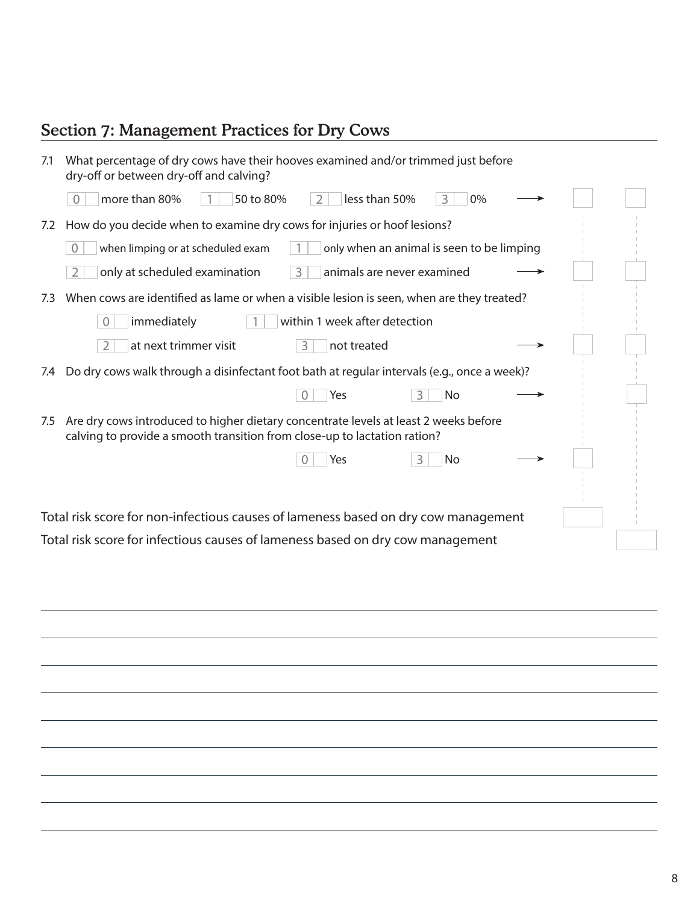## Section 7: Management Practices for Dry Cows

| 7.1 | What percentage of dry cows have their hooves examined and/or trimmed just before<br>dry-off or between dry-off and calving?                                      |
|-----|-------------------------------------------------------------------------------------------------------------------------------------------------------------------|
|     | more than 80%<br>50 to 80%<br>less than 50%<br>0%<br>2<br>3<br>$\Omega$                                                                                           |
| 7.2 | How do you decide when to examine dry cows for injuries or hoof lesions?                                                                                          |
|     | only when an animal is seen to be limping<br>when limping or at scheduled exam<br>$\Omega$                                                                        |
|     | 3<br>only at scheduled examination<br>$\overline{2}$<br>animals are never examined                                                                                |
| 7.3 | When cows are identified as lame or when a visible lesion is seen, when are they treated?                                                                         |
|     | within 1 week after detection<br>immediately<br>$\overline{0}$                                                                                                    |
|     | at next trimmer visit<br>$\overline{2}$<br>3<br>not treated                                                                                                       |
| 7.4 | Do dry cows walk through a disinfectant foot bath at regular intervals (e.g., once a week)?                                                                       |
|     | Yes<br>3<br>No                                                                                                                                                    |
| 7.5 | Are dry cows introduced to higher dietary concentrate levels at least 2 weeks before<br>calving to provide a smooth transition from close-up to lactation ration? |
|     | Yes<br>3<br>No                                                                                                                                                    |
|     |                                                                                                                                                                   |
|     | Total risk score for non-infectious causes of lameness based on dry cow management                                                                                |
|     | Total risk score for infectious causes of lameness based on dry cow management                                                                                    |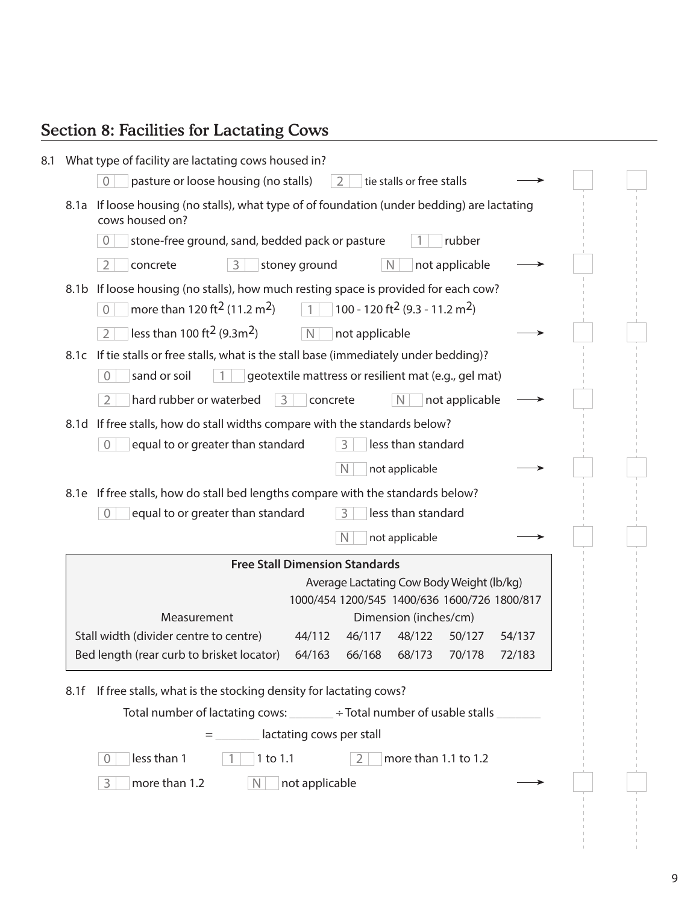## Section 8: Facilities for Lactating Cows

| If loose housing (no stalls), what type of of foundation (under bedding) are lactating    |
|-------------------------------------------------------------------------------------------|
|                                                                                           |
|                                                                                           |
|                                                                                           |
|                                                                                           |
|                                                                                           |
|                                                                                           |
|                                                                                           |
|                                                                                           |
|                                                                                           |
|                                                                                           |
|                                                                                           |
|                                                                                           |
|                                                                                           |
|                                                                                           |
|                                                                                           |
| Average Lactating Cow Body Weight (lb/kg)<br>1000/454 1200/545 1400/636 1600/726 1800/817 |
| 54/137                                                                                    |
| 72/183                                                                                    |
|                                                                                           |
|                                                                                           |
|                                                                                           |
|                                                                                           |
|                                                                                           |
|                                                                                           |
|                                                                                           |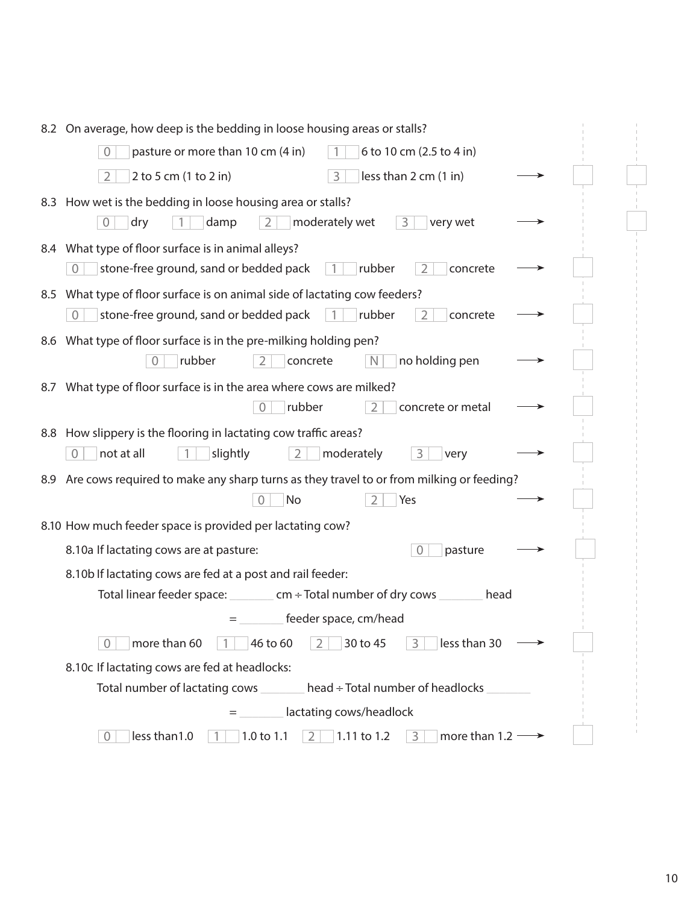|     | 8.2 On average, how deep is the bedding in loose housing areas or stalls?                                          |  |  |  |  |
|-----|--------------------------------------------------------------------------------------------------------------------|--|--|--|--|
|     | pasture or more than 10 cm (4 in)<br>6 to 10 cm (2.5 to 4 in)<br>$\Omega$                                          |  |  |  |  |
|     | 2 to 5 cm (1 to 2 in)<br>less than 2 cm (1 in)<br>$\overline{2}$<br>3                                              |  |  |  |  |
|     | 8.3 How wet is the bedding in loose housing area or stalls?                                                        |  |  |  |  |
|     | moderately wet<br>damp<br>$\overline{2}$<br>3<br>very wet<br>dry<br>$\overline{0}$                                 |  |  |  |  |
|     | 8.4 What type of floor surface is in animal alleys?                                                                |  |  |  |  |
|     | stone-free ground, sand or bedded pack<br>rubber<br>concrete<br>$\overline{0}$<br>$\mathcal{L}$                    |  |  |  |  |
|     | 8.5 What type of floor surface is on animal side of lactating cow feeders?                                         |  |  |  |  |
|     | stone-free ground, sand or bedded pack<br>rubber<br>$\Omega$<br>$\mathcal{D}$<br>concrete                          |  |  |  |  |
|     | 8.6 What type of floor surface is in the pre-milking holding pen?                                                  |  |  |  |  |
|     | rubber<br>no holding pen<br>concrete<br><sup>N</sup>                                                               |  |  |  |  |
|     | 8.7 What type of floor surface is in the area where cows are milked?                                               |  |  |  |  |
|     | rubber<br>concrete or metal<br>0                                                                                   |  |  |  |  |
|     | 8.8 How slippery is the flooring in lactating cow traffic areas?                                                   |  |  |  |  |
|     | not at all<br>moderately<br>slightly<br>2<br>3<br>$\Omega$<br>very                                                 |  |  |  |  |
| 8.9 | Are cows required to make any sharp turns as they travel to or from milking or feeding?                            |  |  |  |  |
|     | No<br>Yes                                                                                                          |  |  |  |  |
|     | 8.10 How much feeder space is provided per lactating cow?                                                          |  |  |  |  |
|     | 8.10a If lactating cows are at pasture:<br>pasture<br>$\overline{0}$                                               |  |  |  |  |
|     | 8.10b If lactating cows are fed at a post and rail feeder:                                                         |  |  |  |  |
|     | Total linear feeder space: $\_\_\_\_$ cm ÷ Total number of dry cows<br>head                                        |  |  |  |  |
|     | feeder space, cm/head                                                                                              |  |  |  |  |
|     | less than 30<br>more than 60<br>30 to 45<br>46 to 60<br>3<br>0<br>2                                                |  |  |  |  |
|     | 8.10c If lactating cows are fed at headlocks:                                                                      |  |  |  |  |
|     | Total number of lactating cows<br>head ÷ Total number of headlocks                                                 |  |  |  |  |
|     | lactating cows/headlock                                                                                            |  |  |  |  |
|     | less than 1.0<br>1.0 to 1.1<br>1.11 to 1.2<br>more than $1.2 \rightarrow$<br>$\overline{2}$<br>3<br>$\overline{0}$ |  |  |  |  |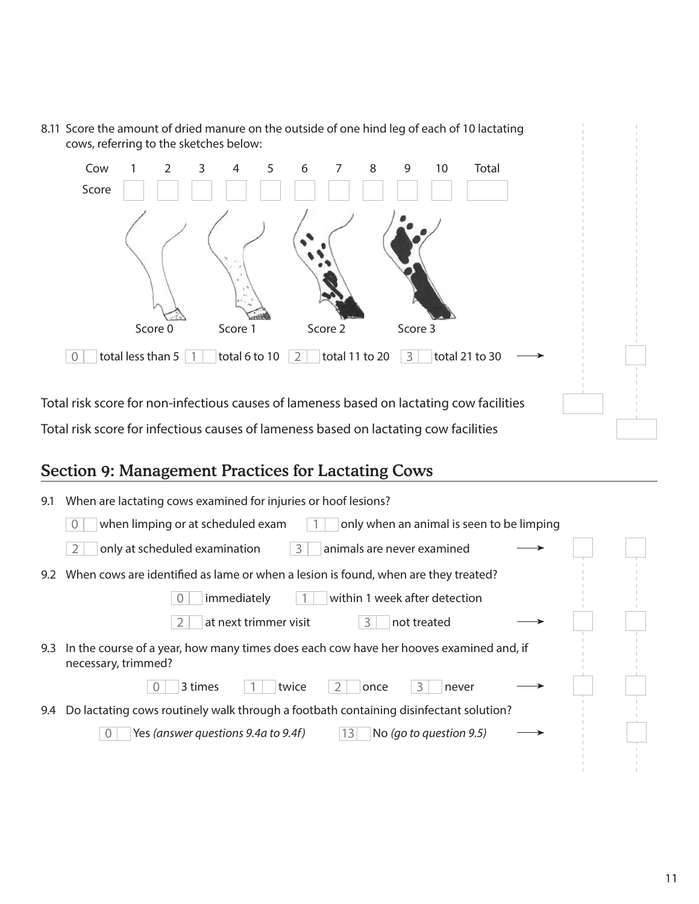

### Section 9: Management Practices for Lactating Cows

| 9.1 | When are lactating cows examined for injuries or hoof lesions?                                                |  |
|-----|---------------------------------------------------------------------------------------------------------------|--|
|     | when limping or at scheduled exam<br>only when an animal is seen to be limping                                |  |
|     | only at scheduled examination<br>animals are never examined<br>3                                              |  |
| 9.2 | When cows are identified as lame or when a lesion is found, when are they treated?                            |  |
|     | within 1 week after detection<br>immediately                                                                  |  |
|     | at next trimmer visit<br>not treated<br>3                                                                     |  |
| 9.3 | In the course of a year, how many times does each cow have her hooves examined and, if<br>necessary, trimmed? |  |
|     | 3 times<br>twice<br>never<br>once                                                                             |  |
| 9.4 | Do lactating cows routinely walk through a footbath containing disinfectant solution?                         |  |
|     | No (go to question 9.5)<br>Yes (answer questions 9.4a to 9.4f)<br>13                                          |  |
|     |                                                                                                               |  |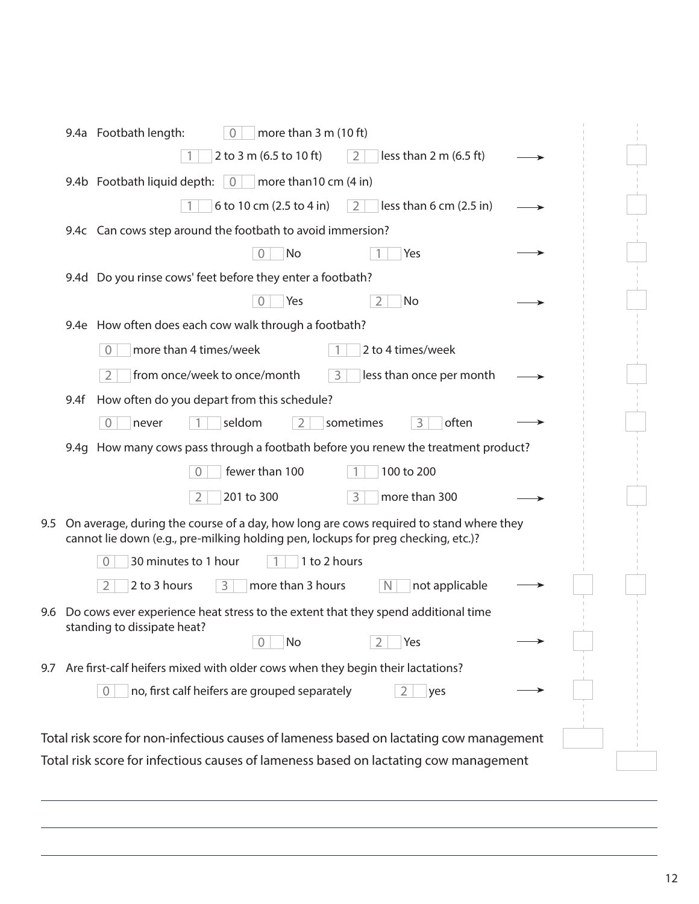|                                                                                                                                                                                    | 9.4a Footbath length:<br>more than $3 \text{ m}$ (10 ft)<br>$\overline{0}$               |  |  |  |  |  |  |
|------------------------------------------------------------------------------------------------------------------------------------------------------------------------------------|------------------------------------------------------------------------------------------|--|--|--|--|--|--|
|                                                                                                                                                                                    | 2 to 3 m (6.5 to 10 ft)<br>less than $2 \text{ m}$ (6.5 ft)<br>2                         |  |  |  |  |  |  |
|                                                                                                                                                                                    | 9.4b Footbath liquid depth: 0<br>more than 10 cm (4 in)                                  |  |  |  |  |  |  |
|                                                                                                                                                                                    | less than 6 cm (2.5 in)<br>6 to 10 cm (2.5 to 4 in)<br>$\overline{2}$                    |  |  |  |  |  |  |
| 9.4c Can cows step around the footbath to avoid immersion?                                                                                                                         |                                                                                          |  |  |  |  |  |  |
|                                                                                                                                                                                    | No<br>Yes                                                                                |  |  |  |  |  |  |
| 9.4d Do you rinse cows' feet before they enter a footbath?                                                                                                                         |                                                                                          |  |  |  |  |  |  |
|                                                                                                                                                                                    | Yes<br>No                                                                                |  |  |  |  |  |  |
| 9.4e How often does each cow walk through a footbath?                                                                                                                              |                                                                                          |  |  |  |  |  |  |
|                                                                                                                                                                                    | more than 4 times/week<br>2 to 4 times/week<br>$\overline{0}$                            |  |  |  |  |  |  |
|                                                                                                                                                                                    | from once/week to once/month<br>3<br>less than once per month                            |  |  |  |  |  |  |
| 9.4f                                                                                                                                                                               | How often do you depart from this schedule?                                              |  |  |  |  |  |  |
|                                                                                                                                                                                    | seldom<br>often<br>$\overline{0}$<br>sometimes<br>3<br>never<br>2                        |  |  |  |  |  |  |
| 9.4g How many cows pass through a footbath before you renew the treatment product?                                                                                                 |                                                                                          |  |  |  |  |  |  |
|                                                                                                                                                                                    | fewer than 100<br>100 to 200                                                             |  |  |  |  |  |  |
|                                                                                                                                                                                    | 201 to 300<br>$\overline{3}$<br>more than 300<br>2                                       |  |  |  |  |  |  |
| On average, during the course of a day, how long are cows required to stand where they<br>9.5<br>cannot lie down (e.g., pre-milking holding pen, lockups for preg checking, etc.)? |                                                                                          |  |  |  |  |  |  |
| 1 to 2 hours<br>30 minutes to 1 hour<br>$\Omega$                                                                                                                                   |                                                                                          |  |  |  |  |  |  |
|                                                                                                                                                                                    | 2 to 3 hours<br>more than 3 hours<br>3<br>not applicable<br>$\overline{2}$<br>N          |  |  |  |  |  |  |
| 9.6                                                                                                                                                                                | Do cows ever experience heat stress to the extent that they spend additional time        |  |  |  |  |  |  |
|                                                                                                                                                                                    | standing to dissipate heat?<br>No<br>Yes                                                 |  |  |  |  |  |  |
| 9.7                                                                                                                                                                                | Are first-calf heifers mixed with older cows when they begin their lactations?           |  |  |  |  |  |  |
|                                                                                                                                                                                    | no, first calf heifers are grouped separately<br>$\overline{0}$<br>yes                   |  |  |  |  |  |  |
|                                                                                                                                                                                    |                                                                                          |  |  |  |  |  |  |
|                                                                                                                                                                                    | Total risk score for non-infectious causes of lameness based on lactating cow management |  |  |  |  |  |  |
|                                                                                                                                                                                    | Total risk score for infectious causes of lameness based on lactating cow management     |  |  |  |  |  |  |
|                                                                                                                                                                                    |                                                                                          |  |  |  |  |  |  |